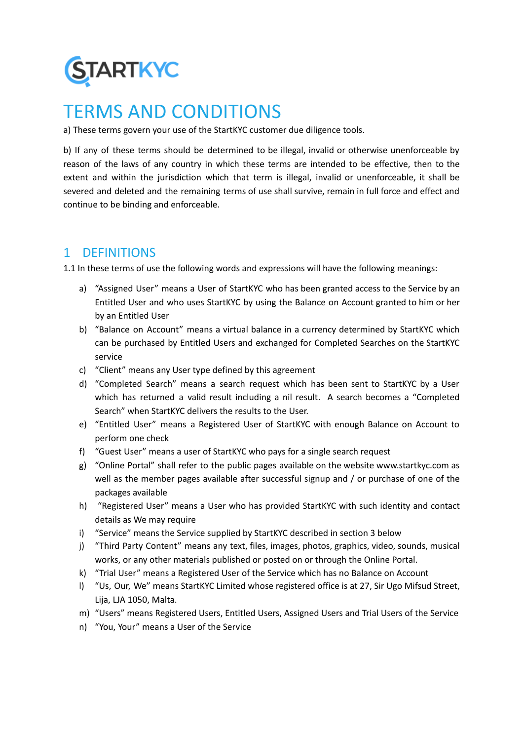

# TERMS AND CONDITIONS

a) These terms govern your use of the StartKYC customer due diligence tools.

b) If any of these terms should be determined to be illegal, invalid or otherwise unenforceable by reason of the laws of any country in which these terms are intended to be effective, then to the extent and within the jurisdiction which that term is illegal, invalid or unenforceable, it shall be severed and deleted and the remaining terms of use shall survive, remain in full force and effect and continue to be binding and enforceable.

# 1 DEFINITIONS

1.1 In these terms of use the following words and expressions will have the following meanings:

- a) "Assigned User" means a User of StartKYC who has been granted access to the Service by an Entitled User and who uses StartKYC by using the Balance on Account granted to him or her by an Entitled User
- b) "Balance on Account" means a virtual balance in a currency determined by StartKYC which can be purchased by Entitled Users and exchanged for Completed Searches on the StartKYC service
- c) "Client" means any User type defined by this agreement
- d) "Completed Search" means a search request which has been sent to StartKYC by a User which has returned a valid result including a nil result. A search becomes a "Completed Search" when StartKYC delivers the results to the User.
- e) "Entitled User" means a Registered User of StartKYC with enough Balance on Account to perform one check
- f) "Guest User" means a user of StartKYC who pays for a single search request
- g) "Online Portal" shall refer to the public pages available on the website www.startkyc.com as well as the member pages available after successful signup and / or purchase of one of the packages available
- h) "Registered User" means a User who has provided StartKYC with such identity and contact details as We may require
- i) "Service" means the Service supplied by StartKYC described in section 3 below
- j) "Third Party Content" means any text, files, images, photos, graphics, video, sounds, musical works, or any other materials published or posted on or through the Online Portal.
- k) "Trial User" means a Registered User of the Service which has no Balance on Account
- l) "Us, Our, We" means StartKYC Limited whose registered office is at 27, Sir Ugo Mifsud Street, Lija, LJA 1050, Malta.
- m) "Users" means Registered Users, Entitled Users, Assigned Users and Trial Users of the Service
- n) "You, Your" means a User of the Service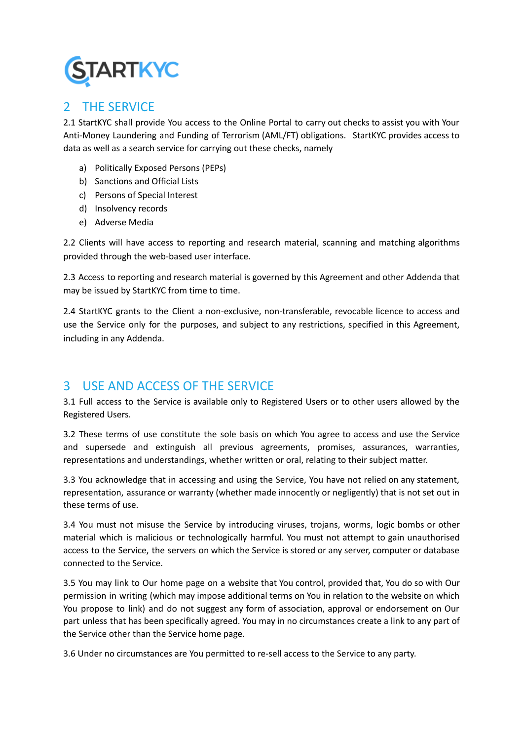

# 2 THE SERVICE

2.1 StartKYC shall provide You access to the Online Portal to carry out checks to assist you with Your Anti-Money Laundering and Funding of Terrorism (AML/FT) obligations. StartKYC provides access to data as well as a search service for carrying out these checks, namely

- a) Politically Exposed Persons (PEPs)
- b) Sanctions and Official Lists
- c) Persons of Special Interest
- d) Insolvency records
- e) Adverse Media

2.2 Clients will have access to reporting and research material, scanning and matching algorithms provided through the web-based user interface.

2.3 Access to reporting and research material is governed by this Agreement and other Addenda that may be issued by StartKYC from time to time.

2.4 StartKYC grants to the Client a non-exclusive, non-transferable, revocable licence to access and use the Service only for the purposes, and subject to any restrictions, specified in this Agreement, including in any Addenda.

# 3 USE AND ACCESS OF THE SERVICE

3.1 Full access to the Service is available only to Registered Users or to other users allowed by the Registered Users.

3.2 These terms of use constitute the sole basis on which You agree to access and use the Service and supersede and extinguish all previous agreements, promises, assurances, warranties, representations and understandings, whether written or oral, relating to their subject matter.

3.3 You acknowledge that in accessing and using the Service, You have not relied on any statement, representation, assurance or warranty (whether made innocently or negligently) that is not set out in these terms of use.

3.4 You must not misuse the Service by introducing viruses, trojans, worms, logic bombs or other material which is malicious or technologically harmful. You must not attempt to gain unauthorised access to the Service, the servers on which the Service is stored or any server, computer or database connected to the Service.

3.5 You may link to Our home page on a website that You control, provided that, You do so with Our permission in writing (which may impose additional terms on You in relation to the website on which You propose to link) and do not suggest any form of association, approval or endorsement on Our part unless that has been specifically agreed. You may in no circumstances create a link to any part of the Service other than the Service home page.

3.6 Under no circumstances are You permitted to re-sell access to the Service to any party.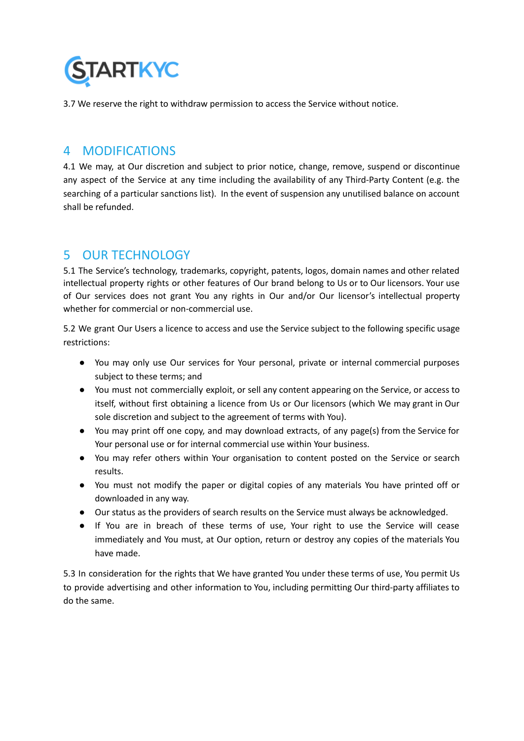

3.7 We reserve the right to withdraw permission to access the Service without notice.

### 4 MODIFICATIONS

4.1 We may, at Our discretion and subject to prior notice, change, remove, suspend or discontinue any aspect of the Service at any time including the availability of any Third-Party Content (e.g. the searching of a particular sanctions list). In the event of suspension any unutilised balance on account shall be refunded.

# 5 OUR TECHNOLOGY

5.1 The Service's technology, trademarks, copyright, patents, logos, domain names and other related intellectual property rights or other features of Our brand belong to Us or to Our licensors. Your use of Our services does not grant You any rights in Our and/or Our licensor's intellectual property whether for commercial or non-commercial use.

5.2 We grant Our Users a licence to access and use the Service subject to the following specific usage restrictions:

- You may only use Our services for Your personal, private or internal commercial purposes subject to these terms; and
- You must not commercially exploit, or sell any content appearing on the Service, or access to itself, without first obtaining a licence from Us or Our licensors (which We may grant in Our sole discretion and subject to the agreement of terms with You).
- You may print off one copy, and may download extracts, of any page(s) from the Service for Your personal use or for internal commercial use within Your business.
- You may refer others within Your organisation to content posted on the Service or search results.
- You must not modify the paper or digital copies of any materials You have printed off or downloaded in any way.
- Our status as the providers of search results on the Service must always be acknowledged.
- If You are in breach of these terms of use, Your right to use the Service will cease immediately and You must, at Our option, return or destroy any copies of the materials You have made.

5.3 In consideration for the rights that We have granted You under these terms of use, You permit Us to provide advertising and other information to You, including permitting Our third-party affiliates to do the same.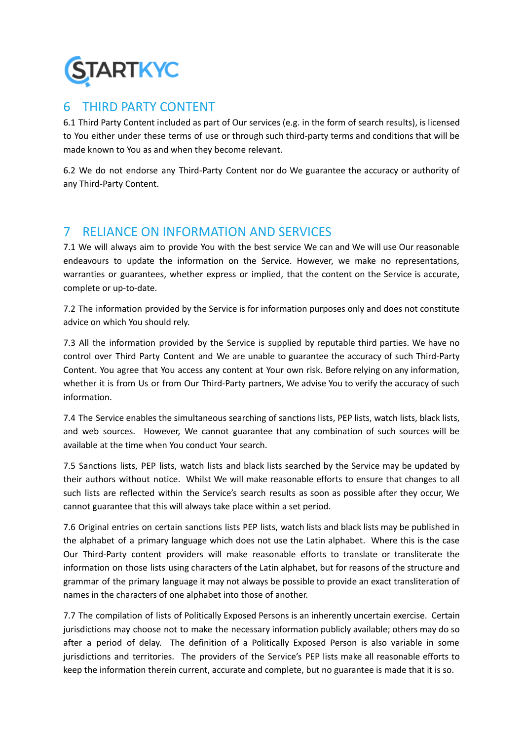

### 6 THIRD PARTY CONTENT

6.1 Third Party Content included as part of Our services (e.g. in the form of search results), is licensed to You either under these terms of use or through such third-party terms and conditions that will be made known to You as and when they become relevant.

6.2 We do not endorse any Third-Party Content nor do We guarantee the accuracy or authority of any Third-Party Content.

# 7 RELIANCE ON INFORMATION AND SERVICES

7.1 We will always aim to provide You with the best service We can and We will use Our reasonable endeavours to update the information on the Service. However, we make no representations, warranties or guarantees, whether express or implied, that the content on the Service is accurate, complete or up-to-date.

7.2 The information provided by the Service is for information purposes only and does not constitute advice on which You should rely.

7.3 All the information provided by the Service is supplied by reputable third parties. We have no control over Third Party Content and We are unable to guarantee the accuracy of such Third-Party Content. You agree that You access any content at Your own risk. Before relying on any information, whether it is from Us or from Our Third-Party partners, We advise You to verify the accuracy of such information.

7.4 The Service enables the simultaneous searching of sanctions lists, PEP lists, watch lists, black lists, and web sources. However, We cannot guarantee that any combination of such sources will be available at the time when You conduct Your search.

7.5 Sanctions lists, PEP lists, watch lists and black lists searched by the Service may be updated by their authors without notice. Whilst We will make reasonable efforts to ensure that changes to all such lists are reflected within the Service's search results as soon as possible after they occur, We cannot guarantee that this will always take place within a set period.

7.6 Original entries on certain sanctions lists PEP lists, watch lists and black lists may be published in the alphabet of a primary language which does not use the Latin alphabet. Where this is the case Our Third-Party content providers will make reasonable efforts to translate or transliterate the information on those lists using characters of the Latin alphabet, but for reasons of the structure and grammar of the primary language it may not always be possible to provide an exact transliteration of names in the characters of one alphabet into those of another.

7.7 The compilation of lists of Politically Exposed Persons is an inherently uncertain exercise. Certain jurisdictions may choose not to make the necessary information publicly available; others may do so after a period of delay. The definition of a Politically Exposed Person is also variable in some jurisdictions and territories. The providers of the Service's PEP lists make all reasonable efforts to keep the information therein current, accurate and complete, but no guarantee is made that it is so.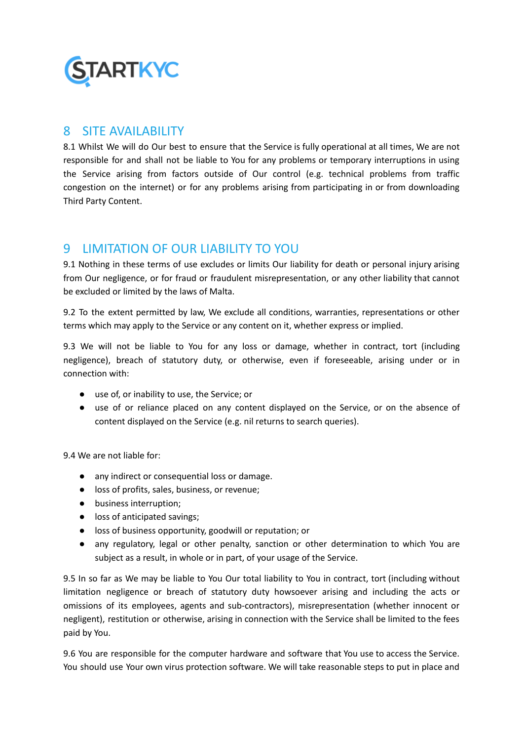

### 8 SITE AVAILABILITY

8.1 Whilst We will do Our best to ensure that the Service is fully operational at all times, We are not responsible for and shall not be liable to You for any problems or temporary interruptions in using the Service arising from factors outside of Our control (e.g. technical problems from traffic congestion on the internet) or for any problems arising from participating in or from downloading Third Party Content.

# 9 LIMITATION OF OUR LIABILITY TO YOU

9.1 Nothing in these terms of use excludes or limits Our liability for death or personal injury arising from Our negligence, or for fraud or fraudulent misrepresentation, or any other liability that cannot be excluded or limited by the laws of Malta.

9.2 To the extent permitted by law, We exclude all conditions, warranties, representations or other terms which may apply to the Service or any content on it, whether express or implied.

9.3 We will not be liable to You for any loss or damage, whether in contract, tort (including negligence), breach of statutory duty, or otherwise, even if foreseeable, arising under or in connection with:

- use of, or inability to use, the Service; or
- use of or reliance placed on any content displayed on the Service, or on the absence of content displayed on the Service (e.g. nil returns to search queries).

9.4 We are not liable for:

- any indirect or consequential loss or damage.
- loss of profits, sales, business, or revenue;
- business interruption;
- loss of anticipated savings:
- loss of business opportunity, goodwill or reputation; or
- any regulatory, legal or other penalty, sanction or other determination to which You are subject as a result, in whole or in part, of your usage of the Service.

9.5 In so far as We may be liable to You Our total liability to You in contract, tort (including without limitation negligence or breach of statutory duty howsoever arising and including the acts or omissions of its employees, agents and sub-contractors), misrepresentation (whether innocent or negligent), restitution or otherwise, arising in connection with the Service shall be limited to the fees paid by You.

9.6 You are responsible for the computer hardware and software that You use to access the Service. You should use Your own virus protection software. We will take reasonable steps to put in place and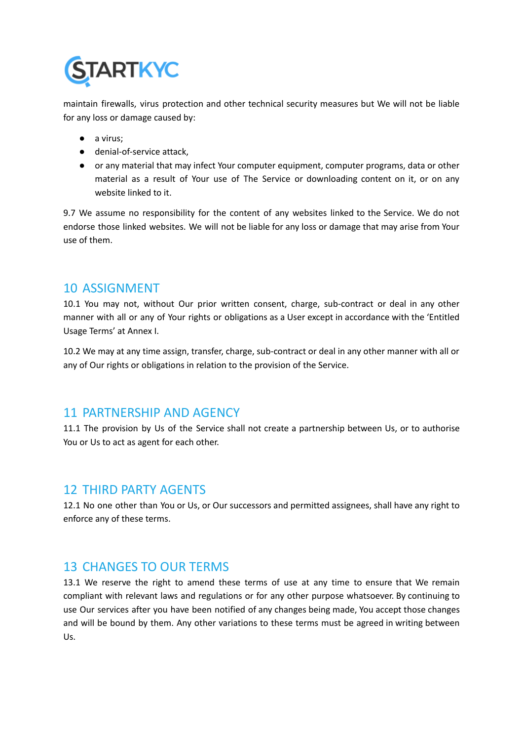

maintain firewalls, virus protection and other technical security measures but We will not be liable for any loss or damage caused by:

- a virus;
- denial-of-service attack,
- or any material that may infect Your computer equipment, computer programs, data or other material as a result of Your use of The Service or downloading content on it, or on any website linked to it.

9.7 We assume no responsibility for the content of any websites linked to the Service. We do not endorse those linked websites. We will not be liable for any loss or damage that may arise from Your use of them.

### 10 ASSIGNMENT

10.1 You may not, without Our prior written consent, charge, sub-contract or deal in any other manner with all or any of Your rights or obligations as a User except in accordance with the 'Entitled Usage Terms' at Annex I.

10.2 We may at any time assign, transfer, charge, sub-contract or deal in any other manner with all or any of Our rights or obligations in relation to the provision of the Service.

### 11 PARTNERSHIP AND AGENCY

11.1 The provision by Us of the Service shall not create a partnership between Us, or to authorise You or Us to act as agent for each other.

### 12 THIRD PARTY AGENTS

12.1 No one other than You or Us, or Our successors and permitted assignees, shall have any right to enforce any of these terms.

### 13 CHANGES TO OUR TERMS

13.1 We reserve the right to amend these terms of use at any time to ensure that We remain compliant with relevant laws and regulations or for any other purpose whatsoever. By continuing to use Our services after you have been notified of any changes being made, You accept those changes and will be bound by them. Any other variations to these terms must be agreed in writing between Us.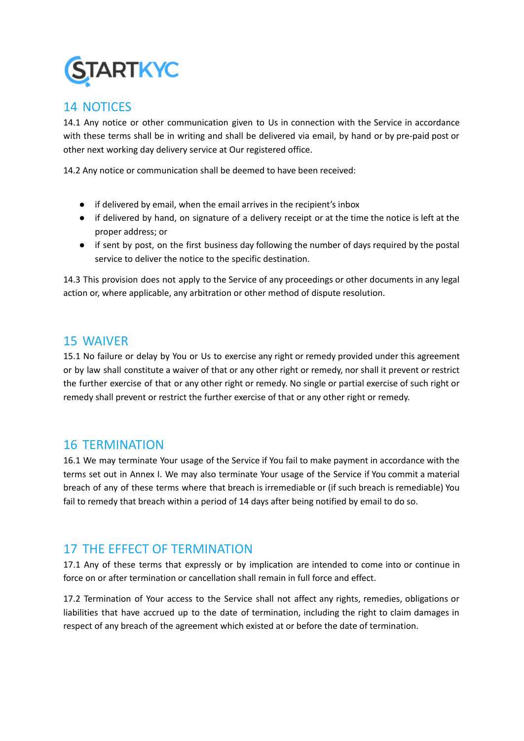

### 14 NOTICES

14.1 Any notice or other communication given to Us in connection with the Service in accordance with these terms shall be in writing and shall be delivered via email, by hand or by pre-paid post or other next working day delivery service at Our registered office.

14.2 Any notice or communication shall be deemed to have been received:

- if delivered by email, when the email arrives in the recipient's inbox
- if delivered by hand, on signature of a delivery receipt or at the time the notice is left at the proper address; or
- if sent by post, on the first business day following the number of days required by the postal service to deliver the notice to the specific destination.

14.3 This provision does not apply to the Service of any proceedings or other documents in any legal action or, where applicable, any arbitration or other method of dispute resolution.

### 15 WAIVER

15.1 No failure or delay by You or Us to exercise any right or remedy provided under this agreement or by law shall constitute a waiver of that or any other right or remedy, nor shall it prevent or restrict the further exercise of that or any other right or remedy. No single or partial exercise of such right or remedy shall prevent or restrict the further exercise of that or any other right or remedy.

### 16 TERMINATION

16.1 We may terminate Your usage of the Service if You fail to make payment in accordance with the terms set out in Annex I. We may also terminate Your usage of the Service if You commit a material breach of any of these terms where that breach is irremediable or (if such breach is remediable) You fail to remedy that breach within a period of 14 days after being notified by email to do so.

# 17 THE EFFECT OF TERMINATION

17.1 Any of these terms that expressly or by implication are intended to come into or continue in force on or after termination or cancellation shall remain in full force and effect.

17.2 Termination of Your access to the Service shall not affect any rights, remedies, obligations or liabilities that have accrued up to the date of termination, including the right to claim damages in respect of any breach of the agreement which existed at or before the date of termination.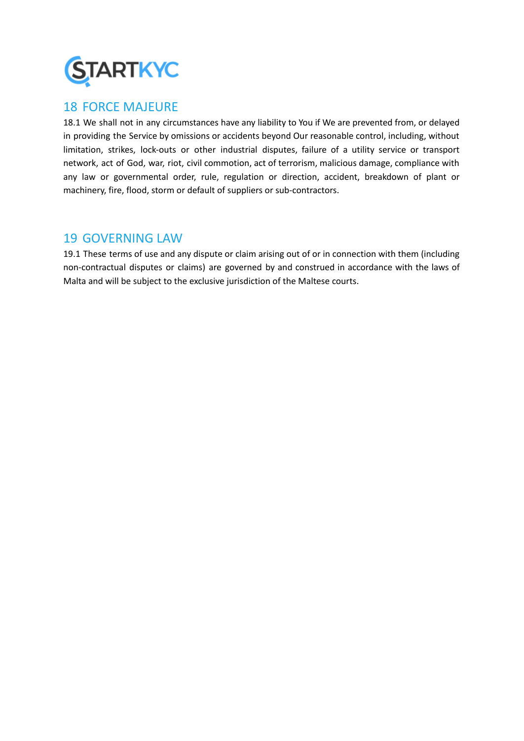

### 18 FORCE MAJEURE

18.1 We shall not in any circumstances have any liability to You if We are prevented from, or delayed in providing the Service by omissions or accidents beyond Our reasonable control, including, without limitation, strikes, lock-outs or other industrial disputes, failure of a utility service or transport network, act of God, war, riot, civil commotion, act of terrorism, malicious damage, compliance with any law or governmental order, rule, regulation or direction, accident, breakdown of plant or machinery, fire, flood, storm or default of suppliers or sub-contractors.

### 19 GOVERNING LAW

19.1 These terms of use and any dispute or claim arising out of or in connection with them (including non-contractual disputes or claims) are governed by and construed in accordance with the laws of Malta and will be subject to the exclusive jurisdiction of the Maltese courts.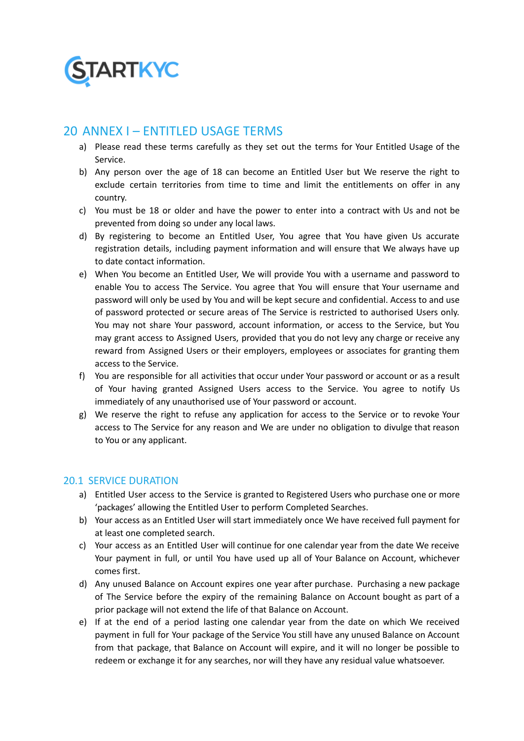

### 20 ANNEX I – ENTITI ED USAGE TERMS

- a) Please read these terms carefully as they set out the terms for Your Entitled Usage of the Service.
- b) Any person over the age of 18 can become an Entitled User but We reserve the right to exclude certain territories from time to time and limit the entitlements on offer in any country.
- c) You must be 18 or older and have the power to enter into a contract with Us and not be prevented from doing so under any local laws.
- d) By registering to become an Entitled User, You agree that You have given Us accurate registration details, including payment information and will ensure that We always have up to date contact information.
- e) When You become an Entitled User, We will provide You with a username and password to enable You to access The Service. You agree that You will ensure that Your username and password will only be used by You and will be kept secure and confidential. Access to and use of password protected or secure areas of The Service is restricted to authorised Users only. You may not share Your password, account information, or access to the Service, but You may grant access to Assigned Users, provided that you do not levy any charge or receive any reward from Assigned Users or their employers, employees or associates for granting them access to the Service.
- f) You are responsible for all activities that occur under Your password or account or as a result of Your having granted Assigned Users access to the Service. You agree to notify Us immediately of any unauthorised use of Your password or account.
- g) We reserve the right to refuse any application for access to the Service or to revoke Your access to The Service for any reason and We are under no obligation to divulge that reason to You or any applicant.

### 20.1 SERVICE DURATION

- a) Entitled User access to the Service is granted to Registered Users who purchase one or more 'packages' allowing the Entitled User to perform Completed Searches.
- b) Your access as an Entitled User will start immediately once We have received full payment for at least one completed search.
- c) Your access as an Entitled User will continue for one calendar year from the date We receive Your payment in full, or until You have used up all of Your Balance on Account, whichever comes first.
- d) Any unused Balance on Account expires one year after purchase. Purchasing a new package of The Service before the expiry of the remaining Balance on Account bought as part of a prior package will not extend the life of that Balance on Account.
- e) If at the end of a period lasting one calendar year from the date on which We received payment in full for Your package of the Service You still have any unused Balance on Account from that package, that Balance on Account will expire, and it will no longer be possible to redeem or exchange it for any searches, nor will they have any residual value whatsoever.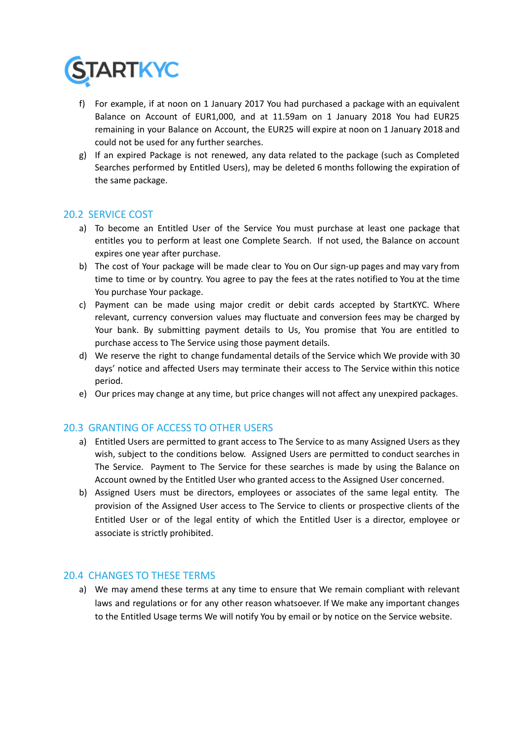

- f) For example, if at noon on 1 January 2017 You had purchased a package with an equivalent Balance on Account of EUR1,000, and at 11.59am on 1 January 2018 You had EUR25 remaining in your Balance on Account, the EUR25 will expire at noon on 1 January 2018 and could not be used for any further searches.
- g) If an expired Package is not renewed, any data related to the package (such as Completed Searches performed by Entitled Users), may be deleted 6 months following the expiration of the same package.

### 20.2 SERVICE COST

- a) To become an Entitled User of the Service You must purchase at least one package that entitles you to perform at least one Complete Search. If not used, the Balance on account expires one year after purchase.
- b) The cost of Your package will be made clear to You on Our sign-up pages and may vary from time to time or by country. You agree to pay the fees at the rates notified to You at the time You purchase Your package.
- c) Payment can be made using major credit or debit cards accepted by StartKYC. Where relevant, currency conversion values may fluctuate and conversion fees may be charged by Your bank. By submitting payment details to Us, You promise that You are entitled to purchase access to The Service using those payment details.
- d) We reserve the right to change fundamental details of the Service which We provide with 30 days' notice and affected Users may terminate their access to The Service within this notice period.
- e) Our prices may change at any time, but price changes will not affect any unexpired packages.

#### 20.3 GRANTING OF ACCESS TO OTHER USERS

- a) Entitled Users are permitted to grant access to The Service to as many Assigned Users as they wish, subject to the conditions below. Assigned Users are permitted to conduct searches in The Service. Payment to The Service for these searches is made by using the Balance on Account owned by the Entitled User who granted access to the Assigned User concerned.
- b) Assigned Users must be directors, employees or associates of the same legal entity. The provision of the Assigned User access to The Service to clients or prospective clients of the Entitled User or of the legal entity of which the Entitled User is a director, employee or associate is strictly prohibited.

#### 20.4 CHANGES TO THESE TERMS

a) We may amend these terms at any time to ensure that We remain compliant with relevant laws and regulations or for any other reason whatsoever. If We make any important changes to the Entitled Usage terms We will notify You by email or by notice on the Service website.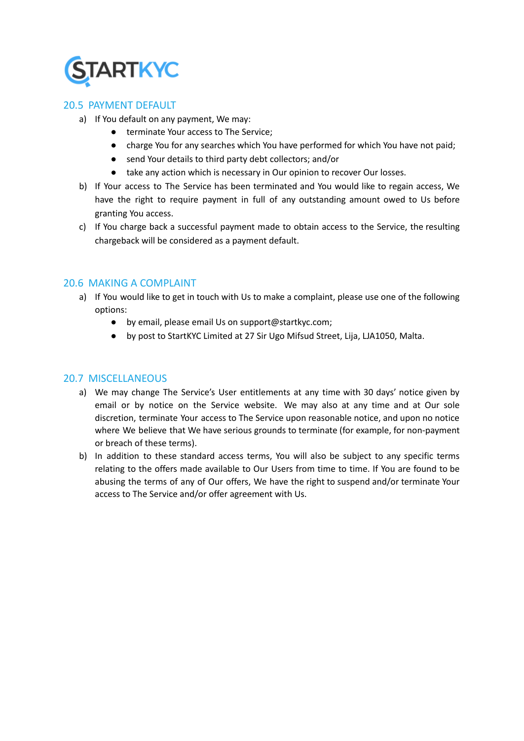

### 20.5 PAYMENT DEFAULT

- a) If You default on any payment, We may:
	- terminate Your access to The Service;
	- charge You for any searches which You have performed for which You have not paid;
	- send Your details to third party debt collectors; and/or
	- take any action which is necessary in Our opinion to recover Our losses.
- b) If Your access to The Service has been terminated and You would like to regain access, We have the right to require payment in full of any outstanding amount owed to Us before granting You access.
- c) If You charge back a successful payment made to obtain access to the Service, the resulting chargeback will be considered as a payment default.

#### 20.6 MAKING A COMPLAINT

- a) If You would like to get in touch with Us to make a complaint, please use one of the following options:
	- by email, please email Us on support@startkyc.com;
	- by post to StartKYC Limited at 27 Sir Ugo Mifsud Street, Lija, LJA1050, Malta.

#### 20.7 MISCELLANEOUS

- a) We may change The Service's User entitlements at any time with 30 days' notice given by email or by notice on the Service website. We may also at any time and at Our sole discretion, terminate Your access to The Service upon reasonable notice, and upon no notice where We believe that We have serious grounds to terminate (for example, for non-payment or breach of these terms).
- b) In addition to these standard access terms, You will also be subject to any specific terms relating to the offers made available to Our Users from time to time. If You are found to be abusing the terms of any of Our offers, We have the right to suspend and/or terminate Your access to The Service and/or offer agreement with Us.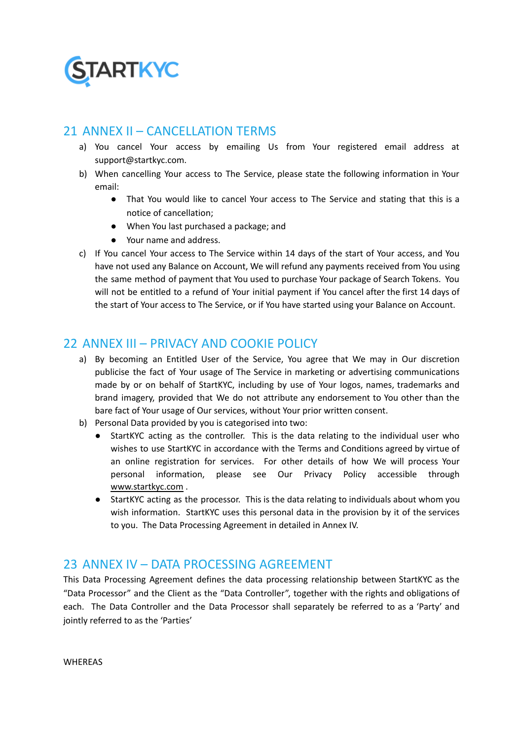

### 21 ANNEX II – CANCELLATION TERMS

- a) You cancel Your access by emailing Us from Your registered email address at support@startkyc.com.
- b) When cancelling Your access to The Service, please state the following information in Your email:
	- That You would like to cancel Your access to The Service and stating that this is a notice of cancellation;
	- When You last purchased a package; and
	- Your name and address.
- c) If You cancel Your access to The Service within 14 days of the start of Your access, and You have not used any Balance on Account, We will refund any payments received from You using the same method of payment that You used to purchase Your package of Search Tokens. You will not be entitled to a refund of Your initial payment if You cancel after the first 14 days of the start of Your access to The Service, or if You have started using your Balance on Account.

# 22 ANNEX III – PRIVACY AND COOKIE POLICY

- a) By becoming an Entitled User of the Service, You agree that We may in Our discretion publicise the fact of Your usage of The Service in marketing or advertising communications made by or on behalf of StartKYC, including by use of Your logos, names, trademarks and brand imagery, provided that We do not attribute any endorsement to You other than the bare fact of Your usage of Our services, without Your prior written consent.
- b) Personal Data provided by you is categorised into two:
	- StartKYC acting as the controller. This is the data relating to the individual user who wishes to use StartKYC in accordance with the Terms and Conditions agreed by virtue of an online registration for services. For other details of how We will process Your personal information, please see Our Privacy Policy accessible through [www.startkyc.com](http://www.startkyc.com) .
	- StartKYC acting as the processor. This is the data relating to individuals about whom you wish information. StartKYC uses this personal data in the provision by it of the services to you. The Data Processing Agreement in detailed in Annex IV.

### 23 ANNEX IV – DATA PROCESSING AGREEMENT

This Data Processing Agreement defines the data processing relationship between StartKYC as the "Data Processor" and the Client as the "Data Controller", together with the rights and obligations of each. The Data Controller and the Data Processor shall separately be referred to as a 'Party' and jointly referred to as the 'Parties'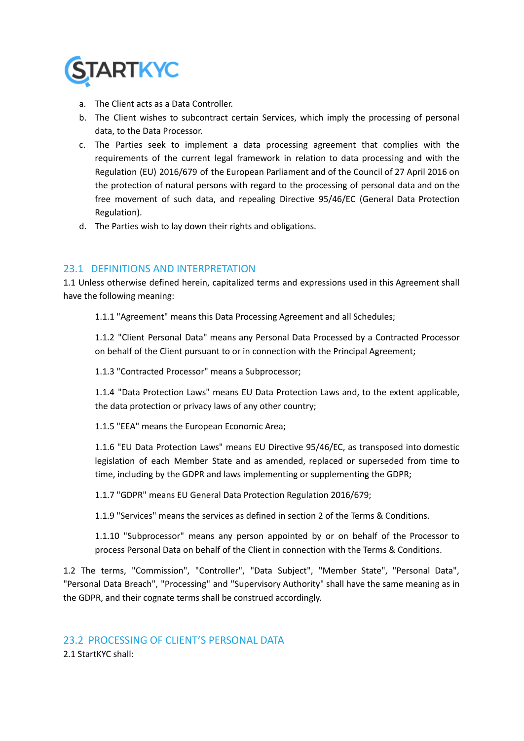

- a. The Client acts as a Data Controller.
- b. The Client wishes to subcontract certain Services, which imply the processing of personal data, to the Data Processor.
- c. The Parties seek to implement a data processing agreement that complies with the requirements of the current legal framework in relation to data processing and with the Regulation (EU) 2016/679 of the European Parliament and of the Council of 27 April 2016 on the protection of natural persons with regard to the processing of personal data and on the free movement of such data, and repealing Directive 95/46/EC (General Data Protection Regulation).
- d. The Parties wish to lay down their rights and obligations.

### 23.1 DEFINITIONS AND INTERPRETATION

1.1 Unless otherwise defined herein, capitalized terms and expressions used in this Agreement shall have the following meaning:

1.1.1 "Agreement" means this Data Processing Agreement and all Schedules;

1.1.2 "Client Personal Data" means any Personal Data Processed by a Contracted Processor on behalf of the Client pursuant to or in connection with the Principal Agreement;

1.1.3 "Contracted Processor" means a Subprocessor;

1.1.4 "Data Protection Laws" means EU Data Protection Laws and, to the extent applicable, the data protection or privacy laws of any other country;

1.1.5 "EEA" means the European Economic Area;

1.1.6 "EU Data Protection Laws" means EU Directive 95/46/EC, as transposed into domestic legislation of each Member State and as amended, replaced or superseded from time to time, including by the GDPR and laws implementing or supplementing the GDPR;

1.1.7 "GDPR" means EU General Data Protection Regulation 2016/679;

1.1.9 "Services" means the services as defined in section 2 of the Terms & Conditions.

1.1.10 "Subprocessor" means any person appointed by or on behalf of the Processor to process Personal Data on behalf of the Client in connection with the Terms & Conditions.

1.2 The terms, "Commission", "Controller", "Data Subject", "Member State", "Personal Data", "Personal Data Breach", "Processing" and "Supervisory Authority" shall have the same meaning as in the GDPR, and their cognate terms shall be construed accordingly.

2.1 StartKYC shall: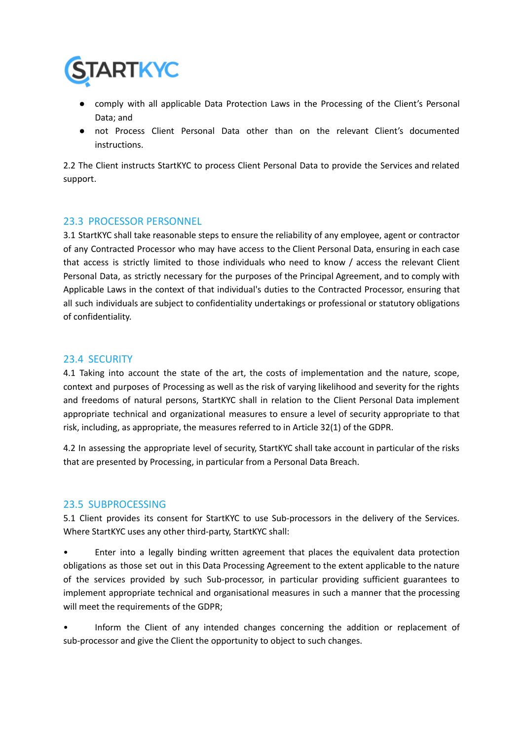

- comply with all applicable Data Protection Laws in the Processing of the Client's Personal Data; and
- not Process Client Personal Data other than on the relevant Client's documented instructions.

2.2 The Client instructs StartKYC to process Client Personal Data to provide the Services and related support.

#### 23.3 PROCESSOR PERSONNEL

3.1 StartKYC shall take reasonable steps to ensure the reliability of any employee, agent or contractor of any Contracted Processor who may have access to the Client Personal Data, ensuring in each case that access is strictly limited to those individuals who need to know / access the relevant Client Personal Data, as strictly necessary for the purposes of the Principal Agreement, and to comply with Applicable Laws in the context of that individual's duties to the Contracted Processor, ensuring that all such individuals are subject to confidentiality undertakings or professional or statutory obligations of confidentiality.

#### 23.4 SECURITY

4.1 Taking into account the state of the art, the costs of implementation and the nature, scope, context and purposes of Processing as well as the risk of varying likelihood and severity for the rights and freedoms of natural persons, StartKYC shall in relation to the Client Personal Data implement appropriate technical and organizational measures to ensure a level of security appropriate to that risk, including, as appropriate, the measures referred to in Article 32(1) of the GDPR.

4.2 In assessing the appropriate level of security, StartKYC shall take account in particular of the risks that are presented by Processing, in particular from a Personal Data Breach.

#### 23.5 SUBPROCESSING

5.1 Client provides its consent for StartKYC to use Sub-processors in the delivery of the Services. Where StartKYC uses any other third-party, StartKYC shall:

• Enter into a legally binding written agreement that places the equivalent data protection obligations as those set out in this Data Processing Agreement to the extent applicable to the nature of the services provided by such Sub-processor, in particular providing sufficient guarantees to implement appropriate technical and organisational measures in such a manner that the processing will meet the requirements of the GDPR;

• Inform the Client of any intended changes concerning the addition or replacement of sub-processor and give the Client the opportunity to object to such changes.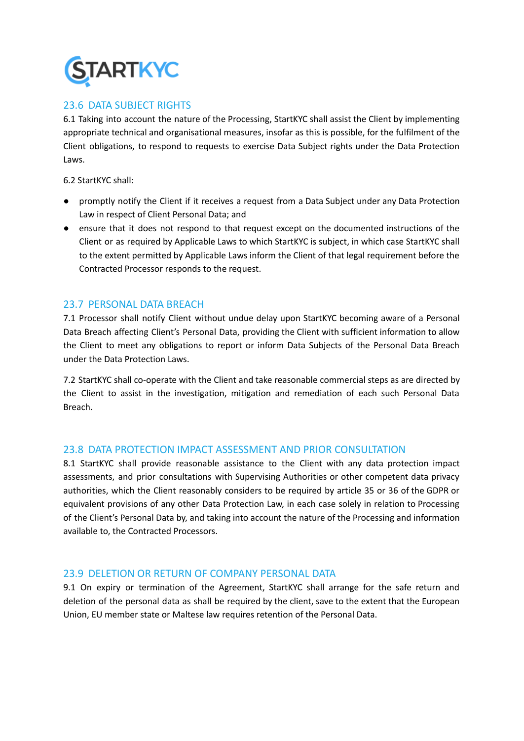

### 23.6 DATA SUBJECT RIGHTS

6.1 Taking into account the nature of the Processing, StartKYC shall assist the Client by implementing appropriate technical and organisational measures, insofar as this is possible, for the fulfilment of the Client obligations, to respond to requests to exercise Data Subject rights under the Data Protection Laws.

6.2 StartKYC shall:

- promptly notify the Client if it receives a request from a Data Subject under any Data Protection Law in respect of Client Personal Data; and
- ensure that it does not respond to that request except on the documented instructions of the Client or as required by Applicable Laws to which StartKYC is subject, in which case StartKYC shall to the extent permitted by Applicable Laws inform the Client of that legal requirement before the Contracted Processor responds to the request.

#### 23.7 PERSONAL DATA BREACH

7.1 Processor shall notify Client without undue delay upon StartKYC becoming aware of a Personal Data Breach affecting Client's Personal Data, providing the Client with sufficient information to allow the Client to meet any obligations to report or inform Data Subjects of the Personal Data Breach under the Data Protection Laws.

7.2 StartKYC shall co-operate with the Client and take reasonable commercial steps as are directed by the Client to assist in the investigation, mitigation and remediation of each such Personal Data Breach.

#### 23.8 DATA PROTECTION IMPACT ASSESSMENT AND PRIOR CONSULTATION

8.1 StartKYC shall provide reasonable assistance to the Client with any data protection impact assessments, and prior consultations with Supervising Authorities or other competent data privacy authorities, which the Client reasonably considers to be required by article 35 or 36 of the GDPR or equivalent provisions of any other Data Protection Law, in each case solely in relation to Processing of the Client's Personal Data by, and taking into account the nature of the Processing and information available to, the Contracted Processors.

#### 23.9 DELETION OR RETURN OF COMPANY PERSONAL DATA

9.1 On expiry or termination of the Agreement, StartKYC shall arrange for the safe return and deletion of the personal data as shall be required by the client, save to the extent that the European Union, EU member state or Maltese law requires retention of the Personal Data.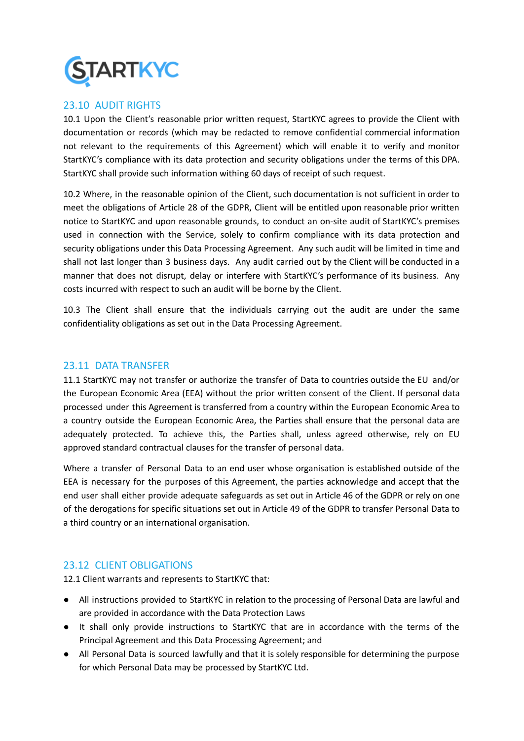

### 23.10 AUDIT RIGHTS

10.1 Upon the Client's reasonable prior written request, StartKYC agrees to provide the Client with documentation or records (which may be redacted to remove confidential commercial information not relevant to the requirements of this Agreement) which will enable it to verify and monitor StartKYC's compliance with its data protection and security obligations under the terms of this DPA. StartKYC shall provide such information withing 60 days of receipt of such request.

10.2 Where, in the reasonable opinion of the Client, such documentation is not sufficient in order to meet the obligations of Article 28 of the GDPR, Client will be entitled upon reasonable prior written notice to StartKYC and upon reasonable grounds, to conduct an on-site audit of StartKYC's premises used in connection with the Service, solely to confirm compliance with its data protection and security obligations under this Data Processing Agreement. Any such audit will be limited in time and shall not last longer than 3 business days. Any audit carried out by the Client will be conducted in a manner that does not disrupt, delay or interfere with StartKYC's performance of its business. Any costs incurred with respect to such an audit will be borne by the Client.

10.3 The Client shall ensure that the individuals carrying out the audit are under the same confidentiality obligations as set out in the Data Processing Agreement.

#### 23.11 DATA TRANSFER

11.1 StartKYC may not transfer or authorize the transfer of Data to countries outside the EU and/or the European Economic Area (EEA) without the prior written consent of the Client. If personal data processed under this Agreement is transferred from a country within the European Economic Area to a country outside the European Economic Area, the Parties shall ensure that the personal data are adequately protected. To achieve this, the Parties shall, unless agreed otherwise, rely on EU approved standard contractual clauses for the transfer of personal data.

Where a transfer of Personal Data to an end user whose organisation is established outside of the EEA is necessary for the purposes of this Agreement, the parties acknowledge and accept that the end user shall either provide adequate safeguards as set out in Article 46 of the GDPR or rely on one of the derogations for specific situations set out in Article 49 of the GDPR to transfer Personal Data to a third country or an international organisation.

#### 23.12 CLIENT OBLIGATIONS

12.1 Client warrants and represents to StartKYC that:

- All instructions provided to StartKYC in relation to the processing of Personal Data are lawful and are provided in accordance with the Data Protection Laws
- It shall only provide instructions to StartKYC that are in accordance with the terms of the Principal Agreement and this Data Processing Agreement; and
- All Personal Data is sourced lawfully and that it is solely responsible for determining the purpose for which Personal Data may be processed by StartKYC Ltd.